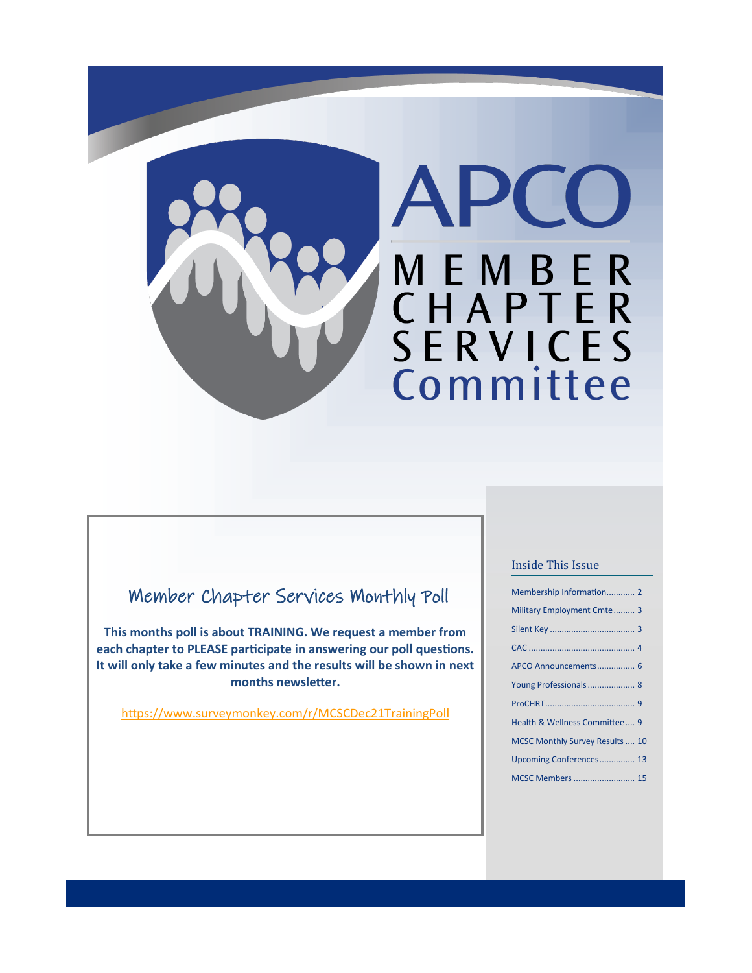

### Member Chapter Services Monthly Poll

**This months poll is about TRAINING. We request a member from each chapter to PLEASE participate in answering our poll questions. It will only take a few minutes and the results will be shown in next months newsletter.**

<https://www.surveymonkey.com/r/MCSCDec21TrainingPoll>

#### Inside This Issue

| Membership Information 2        |
|---------------------------------|
| Military Employment Cmte 3      |
|                                 |
|                                 |
| APCO Announcements 6            |
|                                 |
|                                 |
| Health & Wellness Committee 9   |
| MCSC Monthly Survey Results  10 |
| Upcoming Conferences 13         |
| <b>MCSC Members  15</b>         |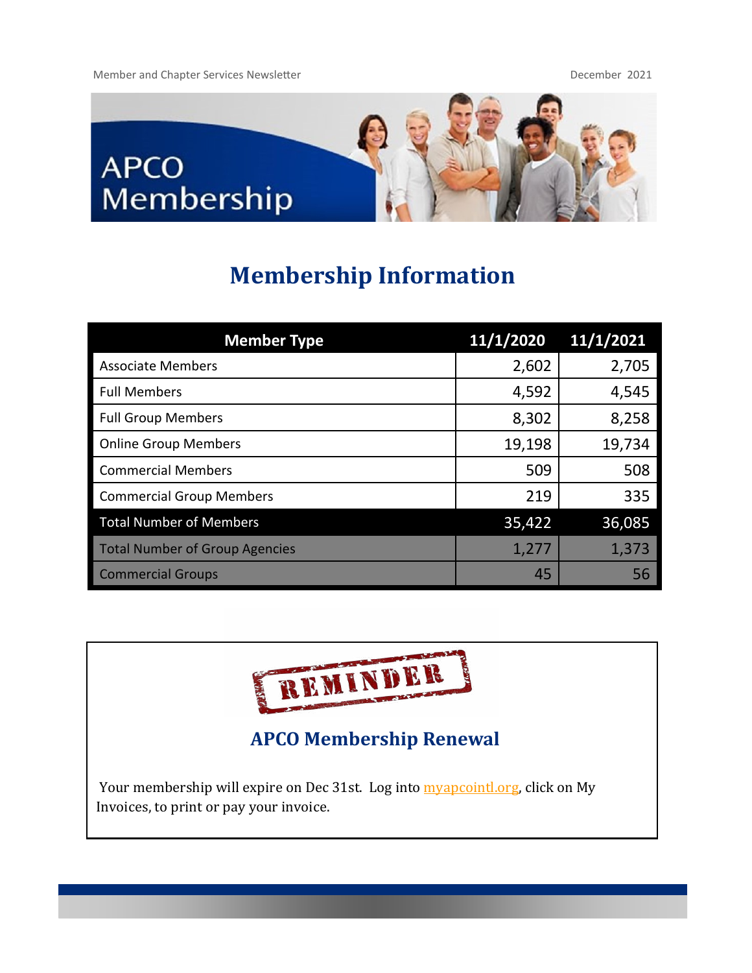Member and Chapter Services Newsletter December 2021



# **Membership Information**

| <b>Member Type</b>                    | 11/1/2020 | 11/1/2021 |
|---------------------------------------|-----------|-----------|
| <b>Associate Members</b>              | 2,602     | 2,705     |
| <b>Full Members</b>                   | 4,592     | 4,545     |
| <b>Full Group Members</b>             | 8,302     | 8,258     |
| <b>Online Group Members</b>           | 19,198    | 19,734    |
| <b>Commercial Members</b>             | 509       | 508       |
| <b>Commercial Group Members</b>       | 219       | 335       |
| <b>Total Number of Members</b>        | 35,422    | 36,085    |
| <b>Total Number of Group Agencies</b> | 1,277     | 1,373     |
| <b>Commercial Groups</b>              | 45        | 56        |



**APCO Membership Renewal**

Your membership will expire on Dec 31st. Log into **myapcointlorg**, click on My Invoices, to print or pay your invoice.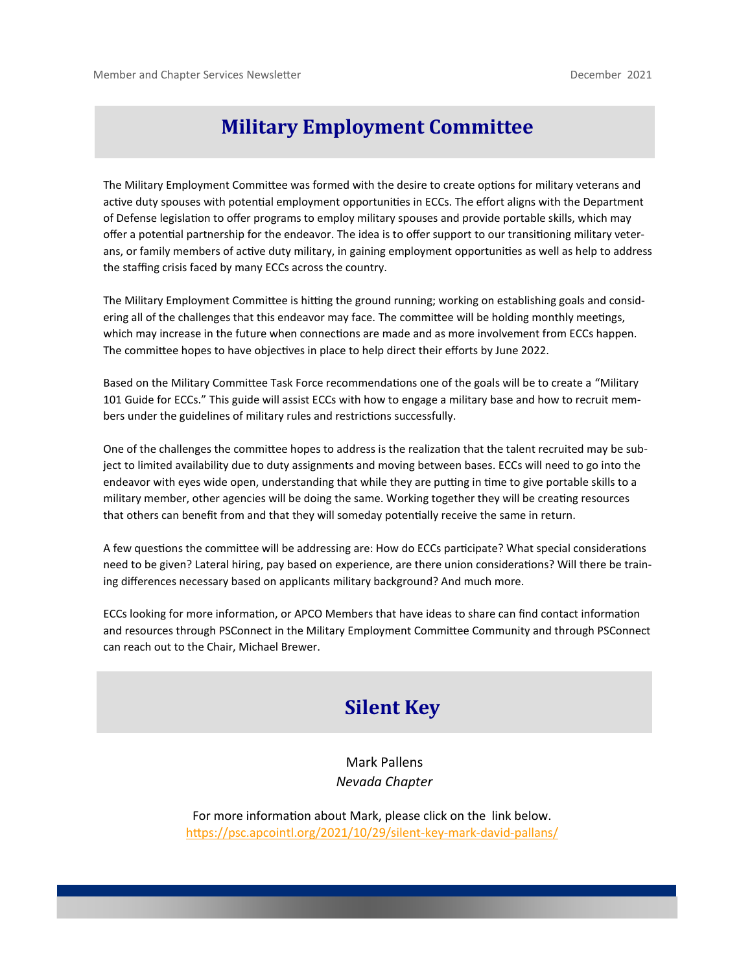### **Military Employment Committee**

The Military Employment Committee was formed with the desire to create options for military veterans and active duty spouses with potential employment opportunities in ECCs. The effort aligns with the Department of Defense legislation to offer programs to employ military spouses and provide portable skills, which may offer a potential partnership for the endeavor. The idea is to offer support to our transitioning military veterans, or family members of active duty military, in gaining employment opportunities as well as help to address the staffing crisis faced by many ECCs across the country.

The Military Employment Committee is hitting the ground running; working on establishing goals and considering all of the challenges that this endeavor may face. The committee will be holding monthly meetings, which may increase in the future when connections are made and as more involvement from ECCs happen. The committee hopes to have objectives in place to help direct their efforts by June 2022.

Based on the Military Committee Task Force recommendations one of the goals will be to create a "Military 101 Guide for ECCs." This guide will assist ECCs with how to engage a military base and how to recruit members under the guidelines of military rules and restrictions successfully.

One of the challenges the committee hopes to address is the realization that the talent recruited may be subject to limited availability due to duty assignments and moving between bases. ECCs will need to go into the endeavor with eyes wide open, understanding that while they are putting in time to give portable skills to a military member, other agencies will be doing the same. Working together they will be creating resources that others can benefit from and that they will someday potentially receive the same in return.

A few questions the committee will be addressing are: How do ECCs participate? What special considerations need to be given? Lateral hiring, pay based on experience, are there union considerations? Will there be training differences necessary based on applicants military background? And much more.

ECCs looking for more information, or APCO Members that have ideas to share can find contact information and resources through PSConnect in the Military Employment Committee Community and through PSConnect can reach out to the Chair, Michael Brewer.

### **Silent Key**

Mark Pallens *Nevada Chapter*

For more information about Mark, please click on the link below. [https://psc.apcointl.org/2021/10/29/silent](%20%20%20%20%20%20%20%20%20%20%20%20%20%20%20%20%20%20%20%20%20%20%20%20%20%20%20%20%20%20%20%20%20%20%20%20%20%20%20%20%20https:/psc.apcointl.org/2021/10/29/silent-key-mark-david-pallans/%20%20%20%20%20%20%20%20%20%20%20%20%20%20%20%20%20%20%20%20%20%20%20%2)-key-mark-david-pallans/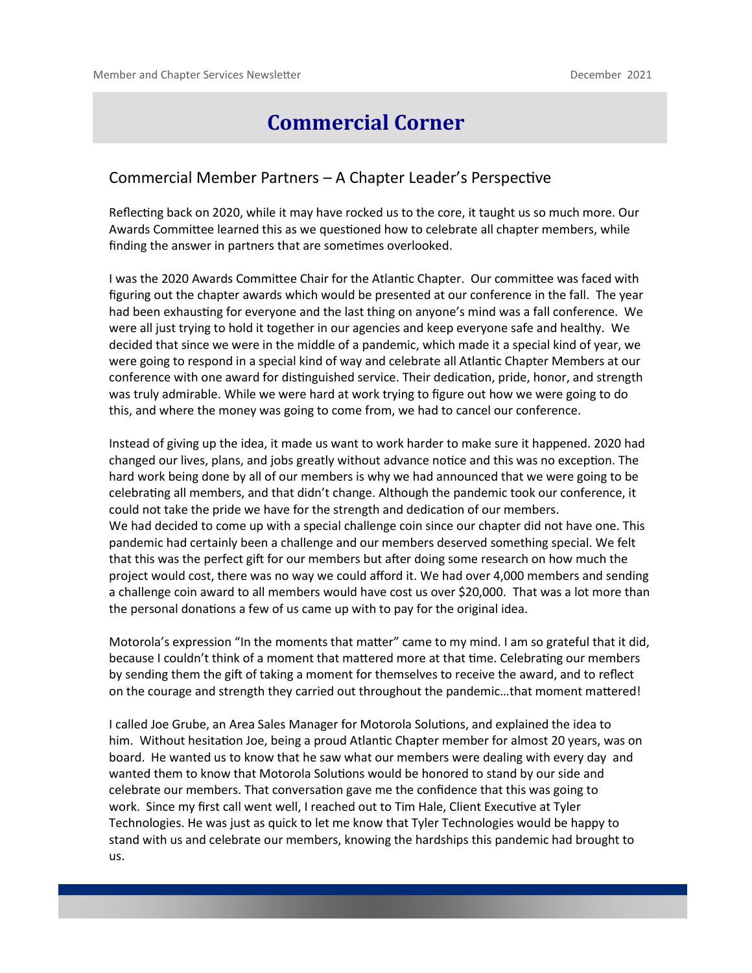### **Commercial Corner**

#### Commercial Member Partners – A Chapter Leader's Perspective

Reflecting back on 2020, while it may have rocked us to the core, it taught us so much more. Our Awards Committee learned this as we questioned how to celebrate all chapter members, while finding the answer in partners that are sometimes overlooked.

I was the 2020 Awards Committee Chair for the Atlantic Chapter. Our committee was faced with figuring out the chapter awards which would be presented at our conference in the fall. The year had been exhausting for everyone and the last thing on anyone's mind was a fall conference. We were all just trying to hold it together in our agencies and keep everyone safe and healthy. We decided that since we were in the middle of a pandemic, which made it a special kind of year, we were going to respond in a special kind of way and celebrate all Atlantic Chapter Members at our conference with one award for distinguished service. Their dedication, pride, honor, and strength was truly admirable. While we were hard at work trying to figure out how we were going to do this, and where the money was going to come from, we had to cancel our conference.

Instead of giving up the idea, it made us want to work harder to make sure it happened. 2020 had changed our lives, plans, and jobs greatly without advance notice and this was no exception. The hard work being done by all of our members is why we had announced that we were going to be celebrating all members, and that didn't change. Although the pandemic took our conference, it could not take the pride we have for the strength and dedication of our members. We had decided to come up with a special challenge coin since our chapter did not have one. This pandemic had certainly been a challenge and our members deserved something special. We felt that this was the perfect gift for our members but after doing some research on how much the project would cost, there was no way we could afford it. We had over 4,000 members and sending a challenge coin award to all members would have cost us over \$20,000. That was a lot more than the personal donations a few of us came up with to pay for the original idea.

Motorola's expression "In the moments that matter" came to my mind. I am so grateful that it did, because I couldn't think of a moment that mattered more at that time. Celebrating our members by sending them the gift of taking a moment for themselves to receive the award, and to reflect on the courage and strength they carried out throughout the pandemic…that moment mattered!

I called Joe Grube, an Area Sales Manager for Motorola Solutions, and explained the idea to him. Without hesitation Joe, being a proud Atlantic Chapter member for almost 20 years, was on board. He wanted us to know that he saw what our members were dealing with every day and wanted them to know that Motorola Solutions would be honored to stand by our side and celebrate our members. That conversation gave me the confidence that this was going to work. Since my first call went well, I reached out to Tim Hale, Client Executive at Tyler Technologies. He was just as quick to let me know that Tyler Technologies would be happy to stand with us and celebrate our members, knowing the hardships this pandemic had brought to us.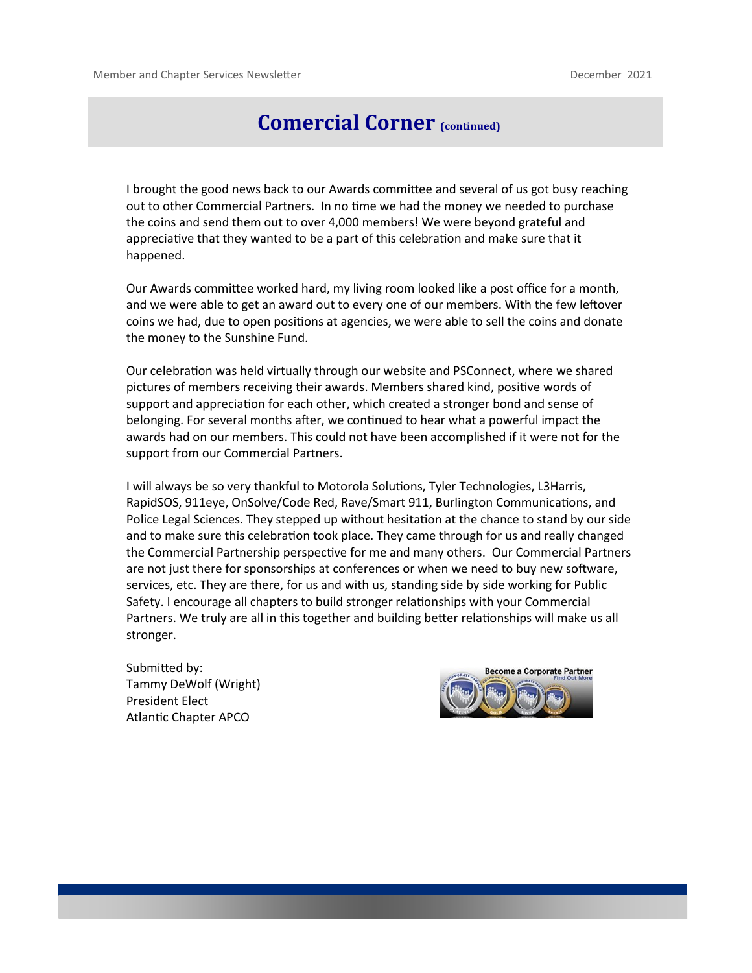### **Comercial Corner (continued)**

I brought the good news back to our Awards committee and several of us got busy reaching out to other Commercial Partners. In no time we had the money we needed to purchase the coins and send them out to over 4,000 members! We were beyond grateful and appreciative that they wanted to be a part of this celebration and make sure that it happened.

Our Awards committee worked hard, my living room looked like a post office for a month, and we were able to get an award out to every one of our members. With the few leftover coins we had, due to open positions at agencies, we were able to sell the coins and donate the money to the Sunshine Fund.

Our celebration was held virtually through our website and PSConnect, where we shared pictures of members receiving their awards. Members shared kind, positive words of support and appreciation for each other, which created a stronger bond and sense of belonging. For several months after, we continued to hear what a powerful impact the awards had on our members. This could not have been accomplished if it were not for the support from our Commercial Partners.

I will always be so very thankful to Motorola Solutions, Tyler Technologies, L3Harris, RapidSOS, 911eye, OnSolve/Code Red, Rave/Smart 911, Burlington Communications, and Police Legal Sciences. They stepped up without hesitation at the chance to stand by our side and to make sure this celebration took place. They came through for us and really changed the Commercial Partnership perspective for me and many others. Our Commercial Partners are not just there for sponsorships at conferences or when we need to buy new software, services, etc. They are there, for us and with us, standing side by side working for Public Safety. I encourage all chapters to build stronger relationships with your Commercial Partners. We truly are all in this together and building better relationships will make us all stronger.

Submitted by: Tammy DeWolf (Wright) President Elect Atlantic Chapter APCO

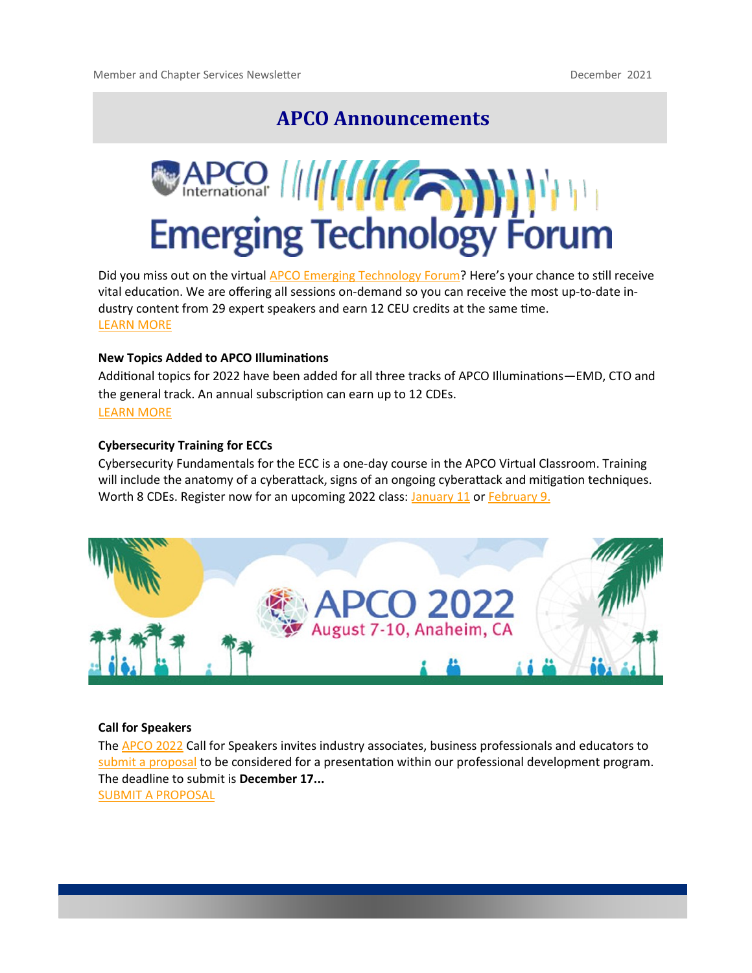### **APCO Announcements**



Did you miss out on the virtual [APCO Emerging Technology Forum?](https://techforum.apcointl.org/) Here's your chance to still receive vital education. We are offering all sessions on-demand so you can receive the most up-to-date industry content from 29 expert speakers and earn 12 CEU credits at the same time. [LEARN MORE](https://apconetforum.org/eweb/DynamicPage.aspx?Site=myapco&WebKey=6b8f8b88-69bf-4852-bba5-a5160f16d011)

#### **New Topics Added to APCO Illuminations**

Additional topics for 2022 have been added for all three tracks of APCO Illuminations—EMD, CTO and the general track. An annual subscription can earn up to 12 CDEs. [LEARN MORE](https://www.apcointl.org/training/continuing-dispatch-education/illuminations-cde-program/)

#### **Cybersecurity Training for ECCs**

Cybersecurity Fundamentals for the ECC is a one-day course in the APCO Virtual Classroom. Training will include the anatomy of a cyberattack, signs of an ongoing cyberattack and mitigation techniques. Worth 8 CDEs. Register now for an upcoming 2022 class: [January 11 o](https://apconetforum.org/eweb/DynamicPage.aspx?webcode=EventInfo&Reg_evt_key=EDC5F5E9-F6E2-4FE3-9697-5E315FDA4179)r [February 9.](https://apconetforum.org/eweb/DynamicPage.aspx?webcode=EventInfo&Reg_evt_key=30B76D17-7044-456A-980B-2FFBCA0EF3D3)



#### **Call for Speakers**

The [APCO 2022 C](https://www.apco2022.org/)all for Speakers invites industry associates, business professionals and educators to [submit a proposal t](https://www.apco2022.org/education/call-for-speakers/)o be considered for a presentation within our professional development program. The deadline to submit is **December 17...** [SUBMIT A PROPOSAL](https://www.apco2022.org/education/call-for-speakers/)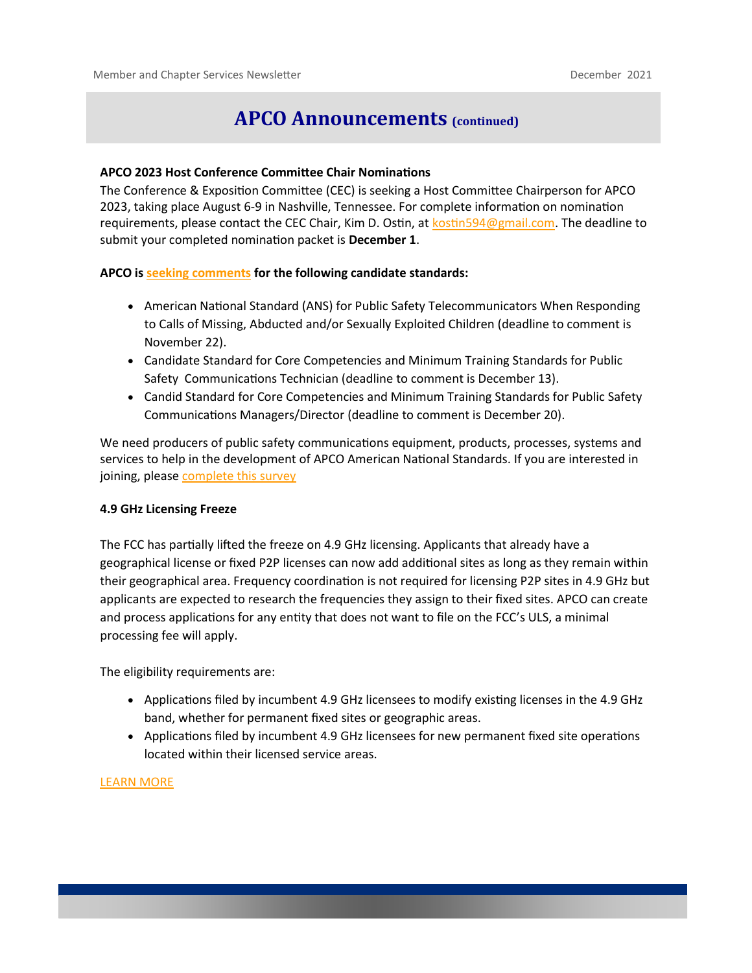### **APCO Announcements (continued)**

#### **APCO 2023 Host Conference Committee Chair Nominations**

The Conference & Exposition Committee (CEC) is seeking a Host Committee Chairperson for APCO 2023, taking place August 6-9 in Nashville, Tennessee. For complete information on nomination requirements, please contact the CEC Chair, Kim D. Ostin, at [kostin594@gmail.com.](mailto:kostin594@gmail.com) The deadline to submit your completed nomination packet is **December 1**.

#### **APCO is [seeking comments](https://www.apcointl.org/services/standards/standards-review-comment/) for the following candidate standards:**

- American National Standard (ANS) for Public Safety Telecommunicators When Responding to Calls of Missing, Abducted and/or Sexually Exploited Children (deadline to comment is November 22).
- Candidate Standard for Core Competencies and Minimum Training Standards for Public Safety Communications Technician (deadline to comment is December 13).
- Candid Standard for Core Competencies and Minimum Training Standards for Public Safety Communications Managers/Director (deadline to comment is December 20).

We need producers of public safety communications equipment, products, processes, systems and services to help in the development of APCO American National Standards. If you are interested in joining, please [complete this survey](http://www.mmsend57.com/link.cfm?r=EmamKDvxZyk7kFcv90YByA~~&pe=6yhYjSgPJWSyD5oYkHiQS6kXW5AZn_RMslazcI6mXZlGzV6uZcdhwo-q9ZLfB4S8zpoV0rb7G6HNKASm0RHodg~~&t=02SV-wW0eyjdUbCQE3KFxw~~)

#### **4.9 GHz Licensing Freeze**

The FCC has partially lifted the freeze on 4.9 GHz licensing. Applicants that already have a geographical license or fixed P2P licenses can now add additional sites as long as they remain within their geographical area. Frequency coordination is not required for licensing P2P sites in 4.9 GHz but applicants are expected to research the frequencies they assign to their fixed sites. APCO can create and process applications for any entity that does not want to file on the FCC's ULS, a minimal processing fee will apply.

The eligibility requirements are:

- Applications filed by incumbent 4.9 GHz licensees to modify existing licenses in the 4.9 GHz band, whether for permanent fixed sites or geographic areas.
- Applications filed by incumbent 4.9 GHz licensees for new permanent fixed site operations located within their licensed service areas.

#### [LEARN MORE](https://www.apcointl.org/services/radio-frequency-management/)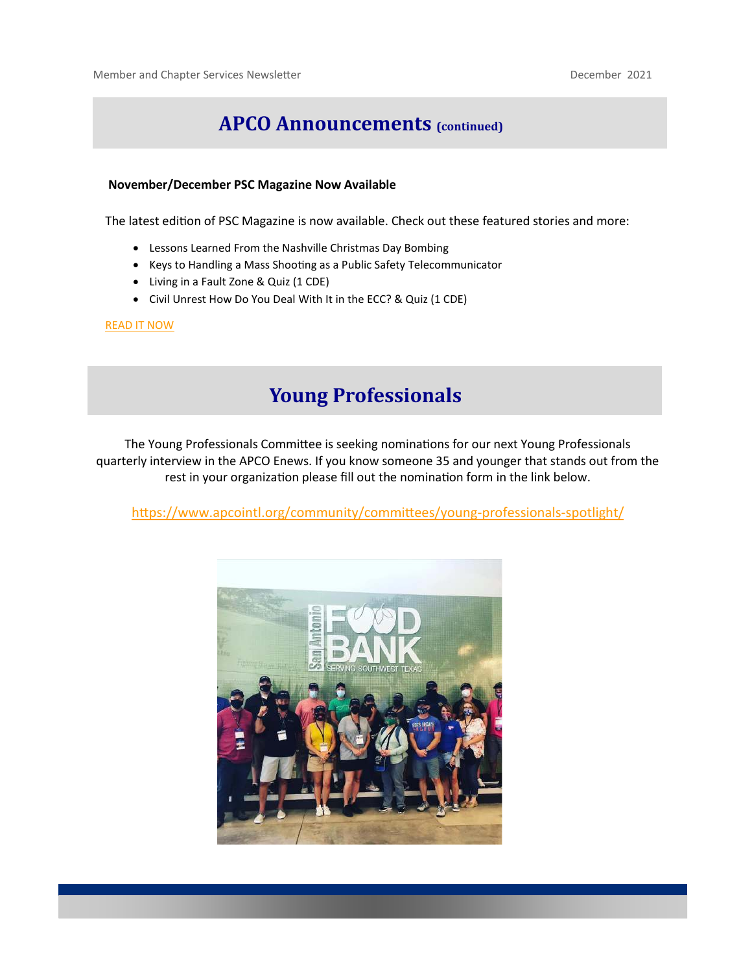### **APCO Announcements (continued)**

#### **November/December PSC Magazine Now Available**

The latest edition of PSC Magazine is now available. Check out these featured stories and more:

- Lessons Learned From the Nashville Christmas Day Bombing
- Keys to Handling a Mass Shooting as a Public Safety Telecommunicator
- Living in a Fault Zone & Quiz (1 CDE)
- Civil Unrest How Do You Deal With It in the ECC? & Quiz (1 CDE)

#### [READ IT NOW](https://www.pscmagazine-digital.com/pscs/0621_november_december_2021/MobilePagedArticle.action?articleId=1735800#articleId1735800)

### **Young Professionals**

The Young Professionals Committee is seeking nominations for our next Young Professionals quarterly interview in the APCO Enews. If you know someone 35 and younger that stands out from the rest in your organization please fill out the nomination form in the link below.

[https://www.apcointl.org/community/committees/young](https://www.apcointl.org/community/committees/young-professionals-spotlight/)-professionals-spotlight/

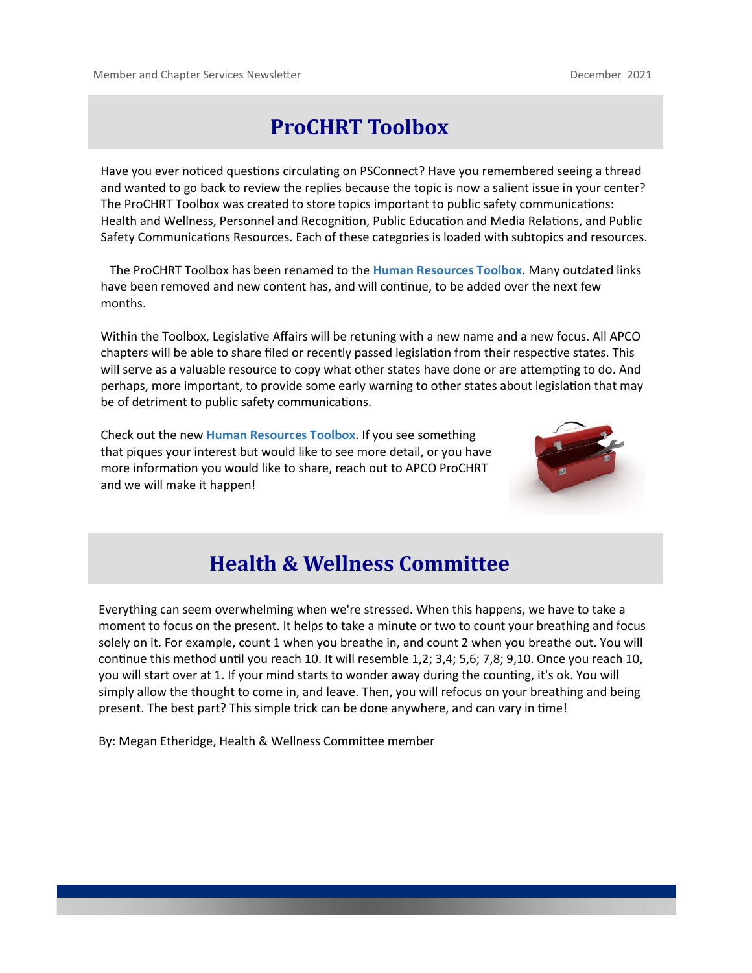## **ProCHRT Toolbox**

Have you ever noticed questions circulating on PSConnect? Have you remembered seeing a thread and wanted to go back to review the replies because the topic is now a salient issue in your center? The ProCHRT Toolbox was created to store topics important to public safety communications: Health and Wellness, Personnel and Recognition, Public Education and Media Relations, and Public Safety Communications Resources. Each of these categories is loaded with subtopics and resources.

 The ProCHRT Toolbox has been renamed to the **Human Resources Toolbox**. Many outdated links have been removed and new content has, and will continue, to be added over the next few months.

Within the Toolbox, Legislative Affairs will be retuning with a new name and a new focus. All APCO chapters will be able to share filed or recently passed legislation from their respective states. This will serve as a valuable resource to copy what other states have done or are attempting to do. And perhaps, more important, to provide some early warning to other states about legislation that may be of detriment to public safety communications.

Check out the new **Human Resources Toolbox**. If you see something that piques your interest but would like to see more detail, or you have more information you would like to share, reach out to APCO ProCHRT and we will make it happen!



## **Health & Wellness Committee**

Everything can seem overwhelming when we're stressed. When this happens, we have to take a moment to focus on the present. It helps to take a minute or two to count your breathing and focus solely on it. For example, count 1 when you breathe in, and count 2 when you breathe out. You will continue this method until you reach 10. It will resemble 1,2; 3,4; 5,6; 7,8; 9,10. Once you reach 10, you will start over at 1. If your mind starts to wonder away during the counting, it's ok. You will simply allow the thought to come in, and leave. Then, you will refocus on your breathing and being present. The best part? This simple trick can be done anywhere, and can vary in time!

By: Megan Etheridge, Health & Wellness Committee member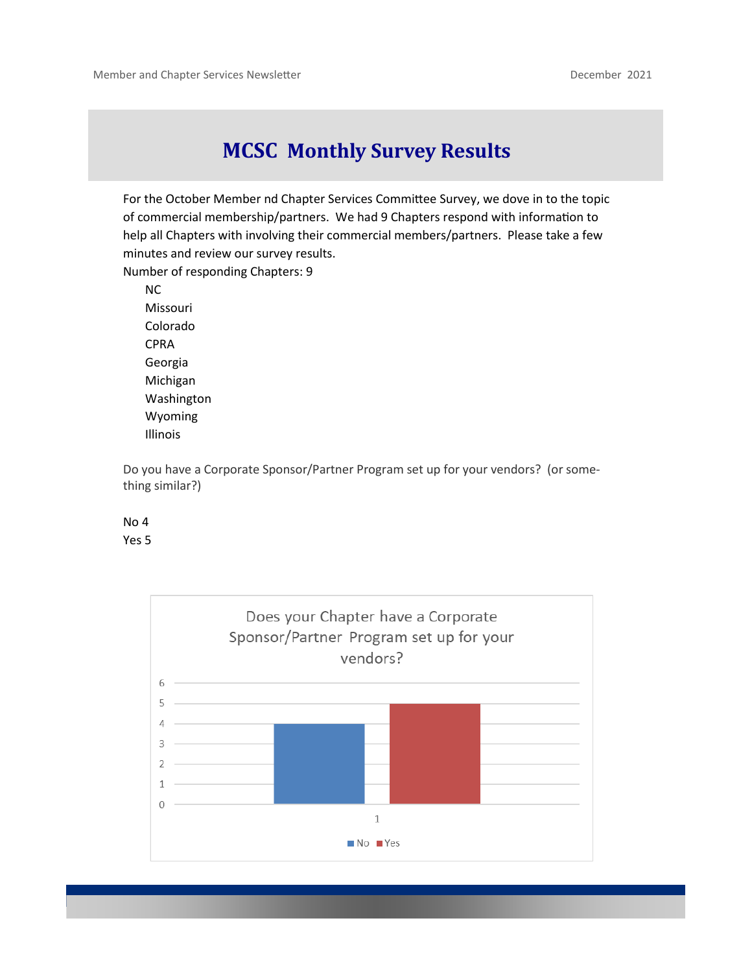### **MCSC Monthly Survey Results**

For the October Member nd Chapter Services Committee Survey, we dove in to the topic of commercial membership/partners. We had 9 Chapters respond with information to help all Chapters with involving their commercial members/partners. Please take a few minutes and review our survey results.

Number of responding Chapters: 9

NC Missouri Colorado CPRA Georgia Michigan Washington Wyoming Illinois

Do you have a Corporate Sponsor/Partner Program set up for your vendors? (or something similar?)



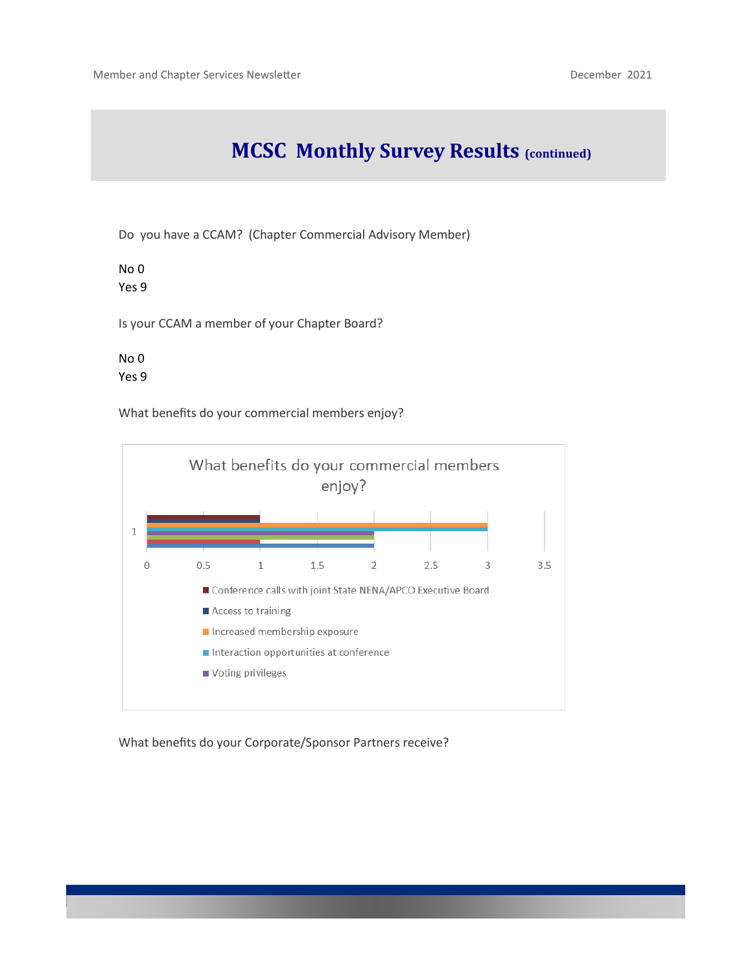## **MCSC Monthly Survey Results (continued)**

Do you have a CCAM? (Chapter Commercial Advisory Member)

No 0 Yes 9

Is your CCAM a member of your Chapter Board?

No 0 Yes 9

What benefits do your commercial members enjoy?



What benefits do your Corporate/Sponsor Partners receive?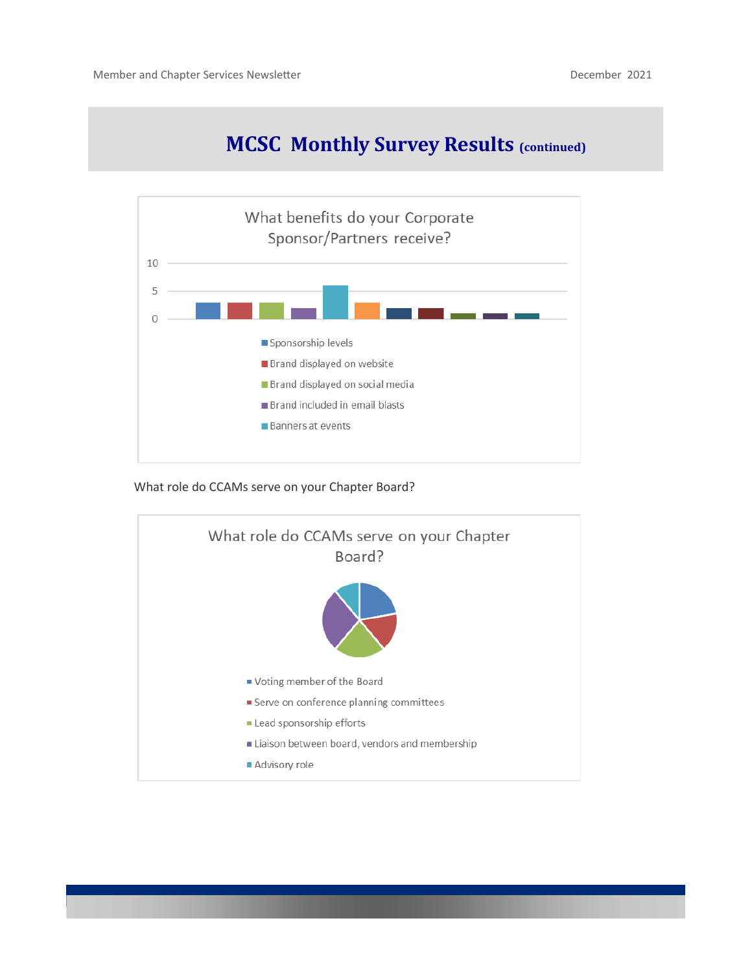## **MCSC Monthly Survey Results (continued)**



What role do CCAMs serve on your Chapter Board?

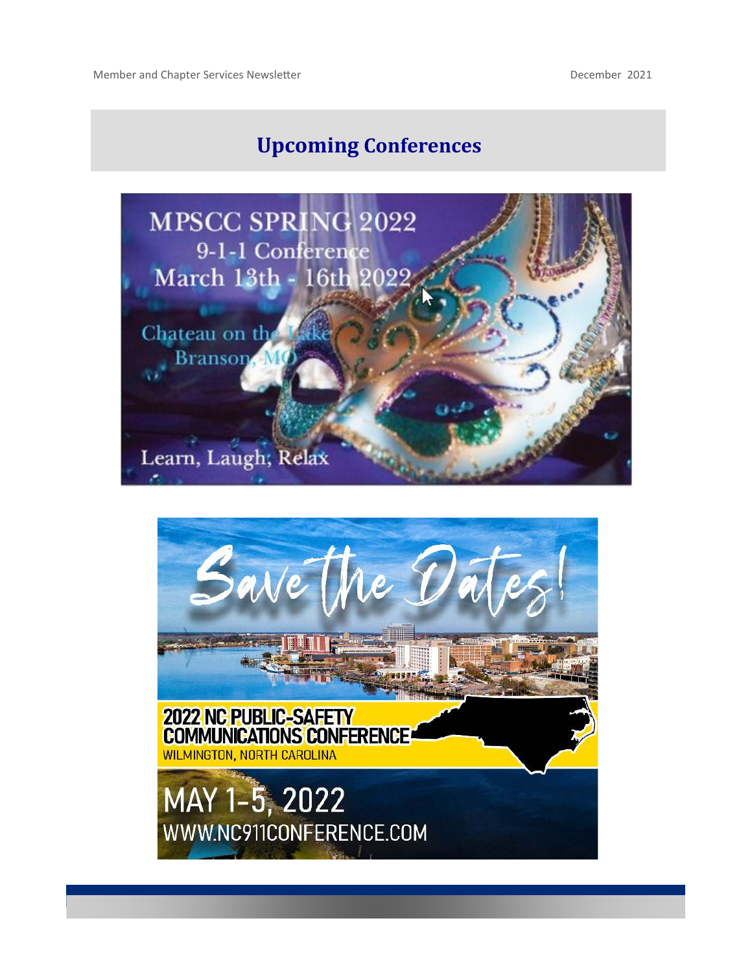# **Upcoming Conferences**



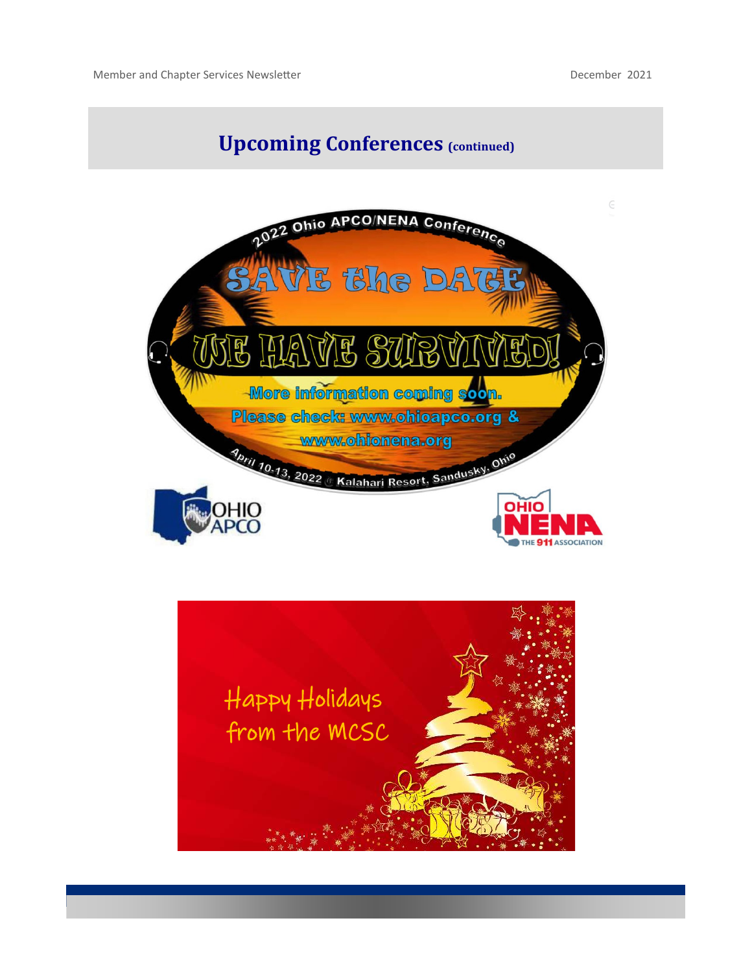## **Upcoming Conferences (continued)**



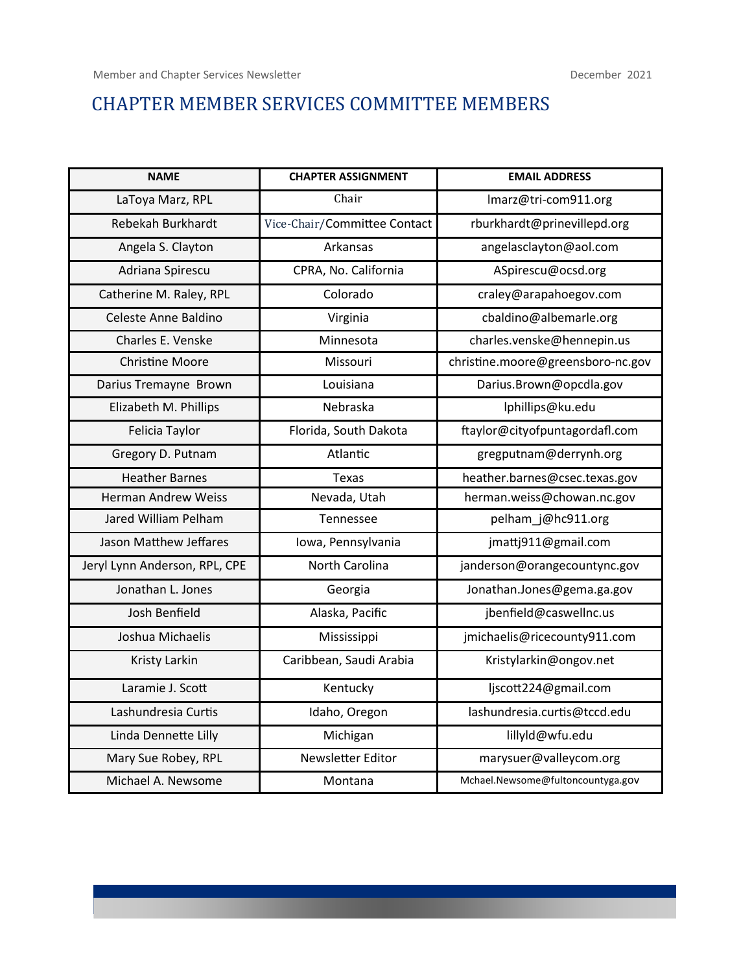### CHAPTER MEMBER SERVICES COMMITTEE MEMBERS

| <b>NAME</b>                   | <b>CHAPTER ASSIGNMENT</b>    | <b>EMAIL ADDRESS</b>              |  |
|-------------------------------|------------------------------|-----------------------------------|--|
| LaToya Marz, RPL              | Chair                        | Imarz@tri-com911.org              |  |
| Rebekah Burkhardt             | Vice-Chair/Committee Contact | rburkhardt@prinevillepd.org       |  |
| Angela S. Clayton             | Arkansas                     | angelasclayton@aol.com            |  |
| Adriana Spirescu              | CPRA, No. California         | ASpirescu@ocsd.org                |  |
| Catherine M. Raley, RPL       | Colorado                     | craley@arapahoegov.com            |  |
| Celeste Anne Baldino          | Virginia                     | cbaldino@albemarle.org            |  |
| Charles E. Venske             | Minnesota                    | charles.venske@hennepin.us        |  |
| <b>Christine Moore</b>        | Missouri                     | christine.moore@greensboro-nc.gov |  |
| Darius Tremayne Brown         | Louisiana                    | Darius.Brown@opcdla.gov           |  |
| Elizabeth M. Phillips         | Nebraska                     | lphillips@ku.edu                  |  |
| Felicia Taylor                | Florida, South Dakota        | ftaylor@cityofpuntagordafl.com    |  |
| Gregory D. Putnam             | Atlantic                     | gregputnam@derrynh.org            |  |
| <b>Heather Barnes</b>         | Texas                        | heather.barnes@csec.texas.gov     |  |
| <b>Herman Andrew Weiss</b>    | Nevada, Utah                 | herman.weiss@chowan.nc.gov        |  |
| Jared William Pelham          | Tennessee                    | pelham_j@hc911.org                |  |
| Jason Matthew Jeffares        | Iowa, Pennsylvania           | jmattj911@gmail.com               |  |
| Jeryl Lynn Anderson, RPL, CPE | North Carolina               | janderson@orangecountync.gov      |  |
| Jonathan L. Jones             | Georgia                      | Jonathan.Jones@gema.ga.gov        |  |
| Josh Benfield                 | Alaska, Pacific              | jbenfield@caswellnc.us            |  |
| Joshua Michaelis              | Mississippi                  | jmichaelis@ricecounty911.com      |  |
| Kristy Larkin                 | Caribbean, Saudi Arabia      | Kristylarkin@ongov.net            |  |
| Laramie J. Scott              | Kentucky                     | ljscott224@gmail.com              |  |
| Lashundresia Curtis           | Idaho, Oregon                | lashundresia.curtis@tccd.edu      |  |
| Linda Dennette Lilly          | Michigan                     | lillyld@wfu.edu                   |  |
| Mary Sue Robey, RPL           | Newsletter Editor            | marysuer@valleycom.org            |  |
| Michael A. Newsome            | Montana                      | Mchael.Newsome@fultoncountyga.gov |  |